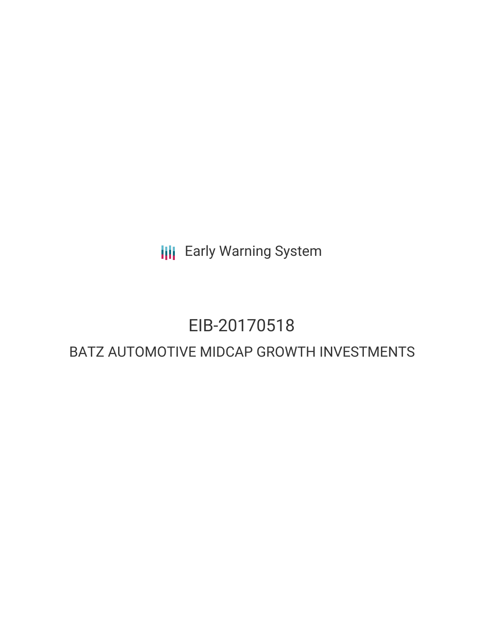**III** Early Warning System

## EIB-20170518

### BATZ AUTOMOTIVE MIDCAP GROWTH INVESTMENTS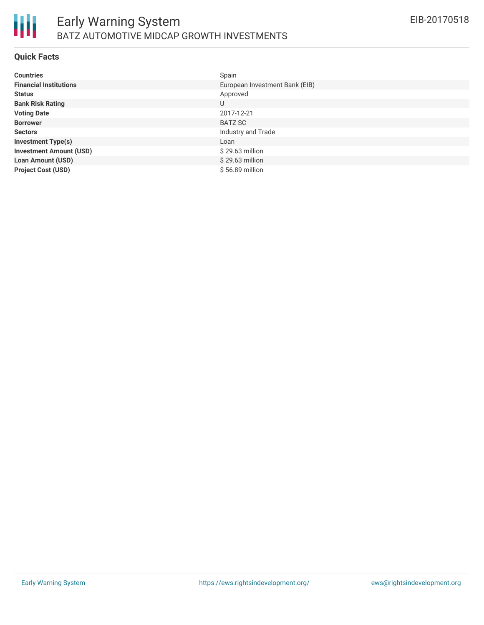

### **Quick Facts**

| <b>Countries</b>               | Spain                          |
|--------------------------------|--------------------------------|
| <b>Financial Institutions</b>  | European Investment Bank (EIB) |
| <b>Status</b>                  | Approved                       |
| <b>Bank Risk Rating</b>        | U                              |
| <b>Voting Date</b>             | 2017-12-21                     |
| <b>Borrower</b>                | BATZ SC                        |
| <b>Sectors</b>                 | Industry and Trade             |
| <b>Investment Type(s)</b>      | Loan                           |
| <b>Investment Amount (USD)</b> | \$29.63 million                |
| <b>Loan Amount (USD)</b>       | $$29.63$ million               |
| <b>Project Cost (USD)</b>      | \$56.89 million                |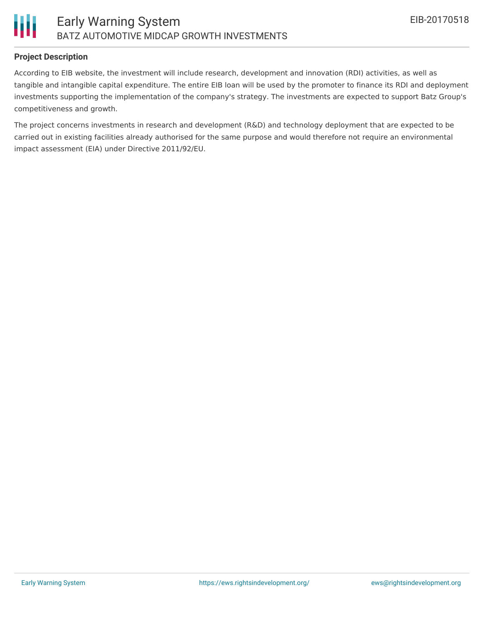

### **Project Description**

According to EIB website, the investment will include research, development and innovation (RDI) activities, as well as tangible and intangible capital expenditure. The entire EIB loan will be used by the promoter to finance its RDI and deployment investments supporting the implementation of the company's strategy. The investments are expected to support Batz Group's competitiveness and growth.

The project concerns investments in research and development (R&D) and technology deployment that are expected to be carried out in existing facilities already authorised for the same purpose and would therefore not require an environmental impact assessment (EIA) under Directive 2011/92/EU.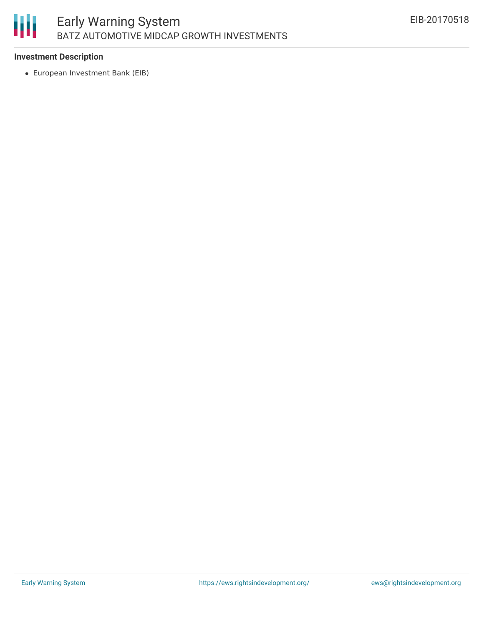# 朋

### **Investment Description**

European Investment Bank (EIB)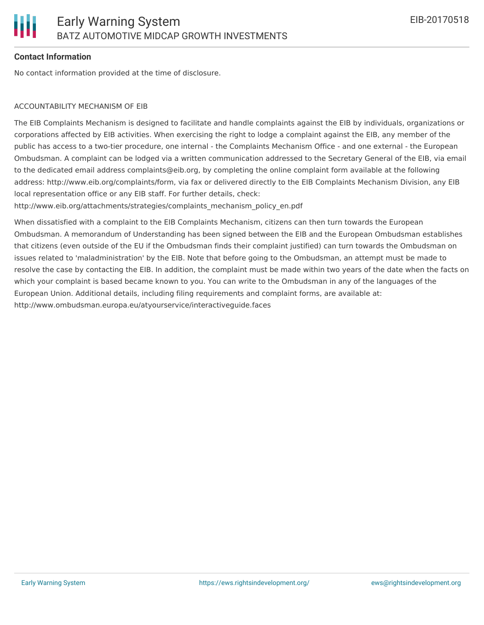### **Contact Information**

No contact information provided at the time of disclosure.

### ACCOUNTABILITY MECHANISM OF EIB

The EIB Complaints Mechanism is designed to facilitate and handle complaints against the EIB by individuals, organizations or corporations affected by EIB activities. When exercising the right to lodge a complaint against the EIB, any member of the public has access to a two-tier procedure, one internal - the Complaints Mechanism Office - and one external - the European Ombudsman. A complaint can be lodged via a written communication addressed to the Secretary General of the EIB, via email to the dedicated email address complaints@eib.org, by completing the online complaint form available at the following address: http://www.eib.org/complaints/form, via fax or delivered directly to the EIB Complaints Mechanism Division, any EIB local representation office or any EIB staff. For further details, check:

http://www.eib.org/attachments/strategies/complaints\_mechanism\_policy\_en.pdf

When dissatisfied with a complaint to the EIB Complaints Mechanism, citizens can then turn towards the European Ombudsman. A memorandum of Understanding has been signed between the EIB and the European Ombudsman establishes that citizens (even outside of the EU if the Ombudsman finds their complaint justified) can turn towards the Ombudsman on issues related to 'maladministration' by the EIB. Note that before going to the Ombudsman, an attempt must be made to resolve the case by contacting the EIB. In addition, the complaint must be made within two years of the date when the facts on which your complaint is based became known to you. You can write to the Ombudsman in any of the languages of the European Union. Additional details, including filing requirements and complaint forms, are available at: http://www.ombudsman.europa.eu/atyourservice/interactiveguide.faces